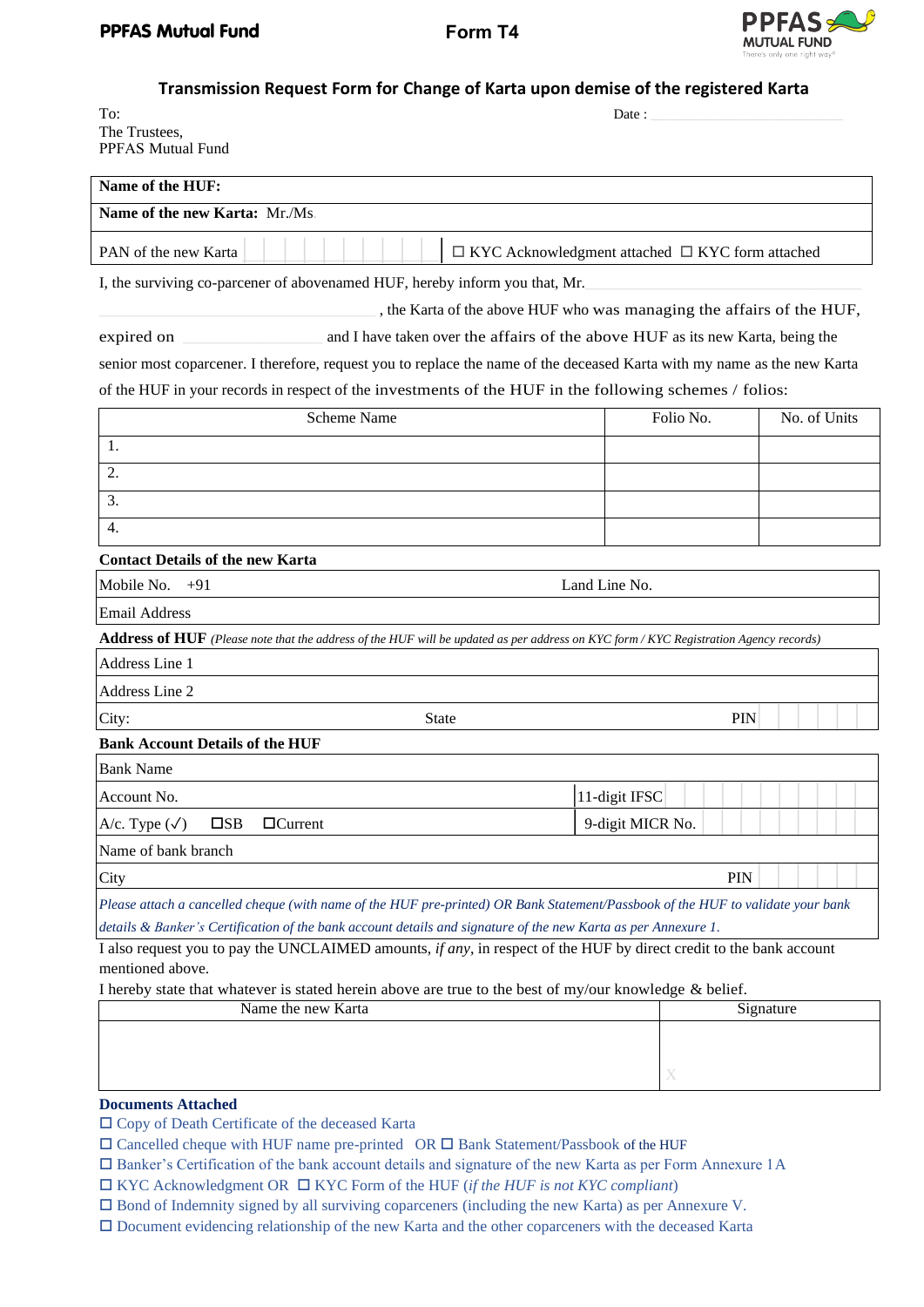

**Transmission Request Form for Change of Karta upon demise of the registered Karta**

| To:                      | Date: |
|--------------------------|-------|
| The Trustees,            |       |
| <b>PPFAS Mutual Fund</b> |       |

| The Trustees,<br>PPFAS Mutual Fund                                                                                                                      |                                                                                |                  |           |            |  |  |  |
|---------------------------------------------------------------------------------------------------------------------------------------------------------|--------------------------------------------------------------------------------|------------------|-----------|------------|--|--|--|
| Name of the HUF:                                                                                                                                        |                                                                                |                  |           |            |  |  |  |
| Name of the new Karta: Mr./Ms.                                                                                                                          |                                                                                |                  |           |            |  |  |  |
| PAN of the new Karta                                                                                                                                    | $\Box$ KYC Acknowledgment attached $\Box$ KYC form attached                    |                  |           |            |  |  |  |
| I, the surviving co-parcener of abovenamed HUF, hereby inform you that, Mr.                                                                             |                                                                                |                  |           |            |  |  |  |
|                                                                                                                                                         | , the Karta of the above HUF who was managing the affairs of the HUF,          |                  |           |            |  |  |  |
| expired on                                                                                                                                              | and I have taken over the affairs of the above HUF as its new Karta, being the |                  |           |            |  |  |  |
| senior most coparcener. I therefore, request you to replace the name of the deceased Karta with my name as the new Karta                                |                                                                                |                  |           |            |  |  |  |
| of the HUF in your records in respect of the investments of the HUF in the following schemes / folios:                                                  |                                                                                |                  |           |            |  |  |  |
| <b>Scheme Name</b>                                                                                                                                      | Folio No.                                                                      | No. of Units     |           |            |  |  |  |
| 1.                                                                                                                                                      |                                                                                |                  |           |            |  |  |  |
| 2.                                                                                                                                                      |                                                                                |                  |           |            |  |  |  |
| 3.                                                                                                                                                      |                                                                                |                  |           |            |  |  |  |
| $\overline{4}$ .                                                                                                                                        |                                                                                |                  |           |            |  |  |  |
|                                                                                                                                                         |                                                                                |                  |           |            |  |  |  |
| <b>Contact Details of the new Karta</b>                                                                                                                 |                                                                                |                  |           |            |  |  |  |
| Mobile No.<br>$+91$                                                                                                                                     | Land Line No.                                                                  |                  |           |            |  |  |  |
| <b>Email Address</b>                                                                                                                                    |                                                                                |                  |           |            |  |  |  |
| Address of HUF (Please note that the address of the HUF will be updated as per address on KYC form / KYC Registration Agency records)<br>Address Line 1 |                                                                                |                  |           |            |  |  |  |
| Address Line 2                                                                                                                                          |                                                                                |                  |           |            |  |  |  |
| City:<br><b>State</b>                                                                                                                                   |                                                                                |                  |           | <b>PIN</b> |  |  |  |
| <b>Bank Account Details of the HUF</b>                                                                                                                  |                                                                                |                  |           |            |  |  |  |
| <b>Bank Name</b>                                                                                                                                        |                                                                                |                  |           |            |  |  |  |
| Account No.                                                                                                                                             |                                                                                | 11-digit IFSC    |           |            |  |  |  |
| $\square$ SB<br>$\Box$ Current<br>A/c. Type $(\checkmark)$                                                                                              |                                                                                | 9-digit MICR No. |           |            |  |  |  |
| Name of bank branch                                                                                                                                     |                                                                                |                  |           |            |  |  |  |
| City                                                                                                                                                    |                                                                                | PIN              |           |            |  |  |  |
| Please attach a cancelled cheque (with name of the HUF pre-printed) OR Bank Statement/Passbook of the HUF to validate your bank                         |                                                                                |                  |           |            |  |  |  |
| details & Banker's Certification of the bank account details and signature of the new Karta as per Annexure 1.                                          |                                                                                |                  |           |            |  |  |  |
| I also request you to pay the UNCLAIMED amounts, if any, in respect of the HUF by direct credit to the bank account                                     |                                                                                |                  |           |            |  |  |  |
| mentioned above.<br>I hereby state that whatever is stated herein above are true to the best of my/our knowledge & belief.                              |                                                                                |                  |           |            |  |  |  |
| Name the new Karta                                                                                                                                      |                                                                                |                  | Signature |            |  |  |  |
|                                                                                                                                                         |                                                                                |                  |           |            |  |  |  |
|                                                                                                                                                         |                                                                                |                  |           |            |  |  |  |
|                                                                                                                                                         |                                                                                | X                |           |            |  |  |  |
| <b>Documents Attached</b>                                                                                                                               |                                                                                |                  |           |            |  |  |  |

Copy of Death Certificate of the deceased Karta

- $\square$  Cancelled cheque with HUF name pre-printed OR  $\square$  Bank Statement/Passbook of the HUF
- Banker's Certification of the bank account details and signature of the new Karta as per Form Annexure 1A
- KYC Acknowledgment OR KYC Form of the HUF (*if the HUF is not KYC compliant*)
- Bond of Indemnity signed by all surviving coparceners (including the new Karta) as per Annexure V.
- Document evidencing relationship of the new Karta and the other coparceners with the deceased Karta